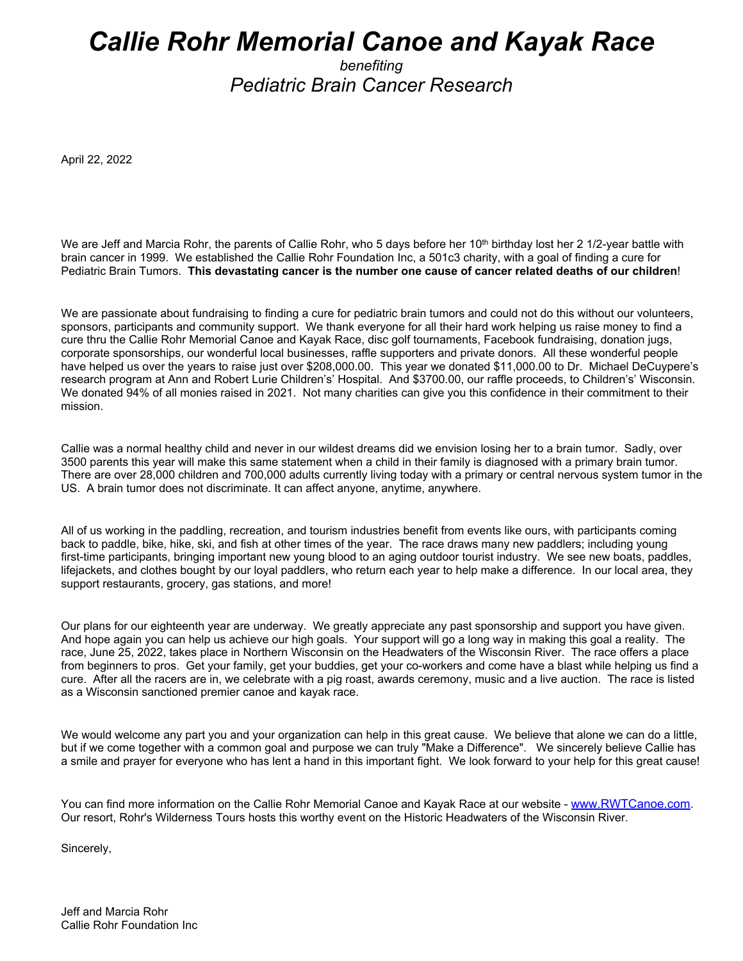## *Callie Rohr Memorial Canoe and Kayak Race*

*benefiting Pediatric Brain Cancer Research*

April 22, 2022

We are Jeff and Marcia Rohr, the parents of Callie Rohr, who 5 days before her 10<sup>th</sup> birthday lost her 2 1/2-year battle with brain cancer in 1999. We established the Callie Rohr Foundation Inc, a 501c3 charity, with a goal of finding a cure for Pediatric Brain Tumors. **This devastating cancer is the number one cause of cancer related deaths of our children**!

We are passionate about fundraising to finding a cure for pediatric brain tumors and could not do this without our volunteers, sponsors, participants and community support. We thank everyone for all their hard work helping us raise money to find a cure thru the Callie Rohr Memorial Canoe and Kayak Race, disc golf tournaments, Facebook fundraising, donation jugs, corporate sponsorships, our wonderful local businesses, raffle supporters and private donors. All these wonderful people have helped us over the years to raise just over \$208,000.00. This year we donated \$11,000.00 to Dr. Michael DeCuypere's research program at Ann and Robert Lurie Children's' Hospital. And \$3700.00, our raffle proceeds, to Children's' Wisconsin. We donated 94% of all monies raised in 2021. Not many charities can give you this confidence in their commitment to their mission.

Callie was a normal healthy child and never in our wildest dreams did we envision losing her to a brain tumor. Sadly, over 3500 parents this year will make this same statement when a child in their family is diagnosed with a primary brain tumor. There are over 28,000 children and 700,000 adults currently living today with a primary or central nervous system tumor in the US. A brain tumor does not discriminate. It can affect anyone, anytime, anywhere.

All of us working in the paddling, recreation, and tourism industries benefit from events like ours, with participants coming back to paddle, bike, hike, ski, and fish at other times of the year. The race draws many new paddlers; including young first-time participants, bringing important new young blood to an aging outdoor tourist industry. We see new boats, paddles, lifejackets, and clothes bought by our loyal paddlers, who return each year to help make a difference. In our local area, they support restaurants, grocery, gas stations, and more!

Our plans for our eighteenth year are underway. We greatly appreciate any past sponsorship and support you have given. And hope again you can help us achieve our high goals. Your support will go a long way in making this goal a reality. The race, June 25, 2022, takes place in Northern Wisconsin on the Headwaters of the Wisconsin River. The race offers a place from beginners to pros. Get your family, get your buddies, get your co-workers and come have a blast while helping us find a cure. After all the racers are in, we celebrate with a pig roast, awards ceremony, music and a live auction. The race is listed as a Wisconsin sanctioned premier canoe and kayak race.

We would welcome any part you and your organization can help in this great cause. We believe that alone we can do a little, but if we come together with a common goal and purpose we can truly "Make a Difference". We sincerely believe Callie has a smile and prayer for everyone who has lent a hand in this important fight. We look forward to your help for this great cause!

You can find more information on the Callie Rohr Memorial Canoe and Kayak Race at our website - www.RWTCanoe.com. Our resort, Rohr's Wilderness Tours hosts this worthy event on the Historic Headwaters of the Wisconsin River.

Sincerely,